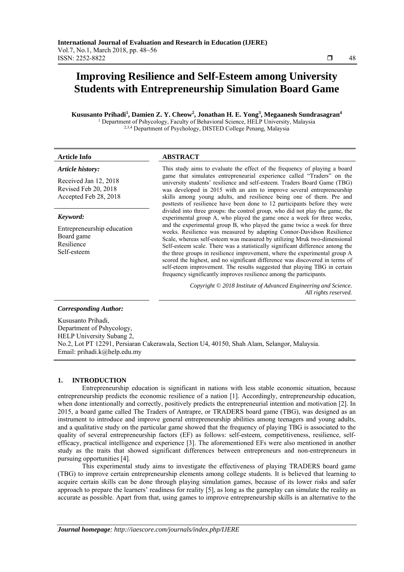# **Improving Resilience and Self-Esteem among University Students with Entrepreneurship Simulation Board Game**

**Kususanto Prihadi1 , Damien Z. Y. Cheow2 , Jonathan H. E. Yong3 , Megaanesh Sundrasagran4** <sup>1</sup> Department of Pshycology, Faculty of Behavioral Science, HELP University, Malaysia <sup>2,3,4</sup> Department of Psychology, DISTED College Penang, Malaysia

# **Article Info ABSTRACT**

### *Article history:*

Received Jan 12, 2018 Revised Feb 20, 2018 Accepted Feb 28, 2018

#### *Keyword:*

Entrepreneurship education Board game Resilience Self-esteem

This study aims to evaluate the effect of the frequency of playing a board game that simulates entrepreneurial experience called "Traders" on the university students' resilience and self-esteem. Traders Board Game (TBG) was developed in 2015 with an aim to improve several entrepreneurship skills among young adults, and resilience being one of them. Pre and posttests of resilience have been done to 12 participants before they were divided into three groups: the control group, who did not play the game, the experimental group A, who played the game once a week for three weeks, and the experimental group B, who played the game twice a week for three weeks. Resilience was measured by adapting Connor-Davidson Resilience Scale, whereas self-esteem was measured by utilizing Mruk two-dimensional Self-esteem scale. There was a statistically significant difference among the the three groups in resilience improvement, where the experimental group A scored the highest, and no significant difference was discovered in terms of self-eteem improvement. The results suggested that playing TBG in certain frequency significantly improves resilience among the participants.

> *Copyright © 2018 Institute of Advanced Engineering and Science. All rights reserved.*

# *Corresponding Author:*

Kususanto Prihadi, Department of Pshycology, HELP University Subang 2, No.2, Lot PT 12291, Persiaran Cakerawala, Section U4, 40150, Shah Alam, Selangor, Malaysia. Email: prihadi.k@help.edu.my

## **1. INTRODUCTION**

Entrepreneurship education is significant in nations with less stable economic situation, because entrepreneurship predicts the economic resilience of a nation [1]. Accordingly, entrepreneurship education, when done intentionally and correctly, positively predicts the entrepreneurial intention and motivation [2]. In 2015, a board game called The Traders of Antrapre, or TRADERS board game (TBG), was designed as an instrument to introduce and improve general entrepreneurship abilities among teenagers and young adults, and a qualitative study on the particular game showed that the frequency of playing TBG is associated to the quality of several entrepreneurship factors (EF) as follows: self-esteem, competitiveness, resilience, selfefficacy, practical intelligence and experience [3]. The aforementioned EFs were also mentioned in another study as the traits that showed significant differences between entrepreneurs and non-entrepreneurs in pursuing opportunities [4].

This experimental study aims to investigate the effectiveness of playing TRADERS board game (TBG) to improve certain entrepreneurship elements among college students. It is believed that learning to acquire certain skills can be done through playing simulation games, because of its lower risks and safer approach to prepare the learners' readiness for reality [5], as long as the gameplay can simulate the reality as accurate as possible. Apart from that, using games to improve entrepreneurship skills is an alternative to the

ֺֺ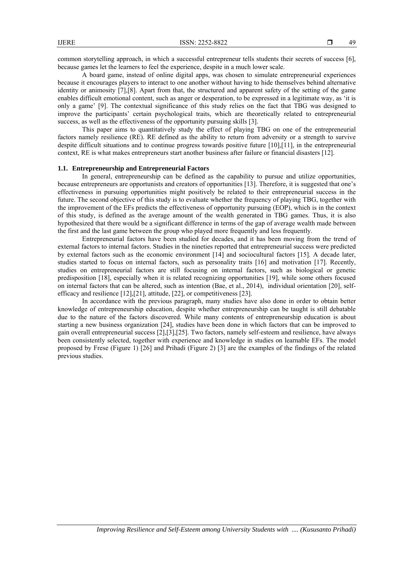common storytelling approach, in which a successful entrepreneur tells students their secrets of success [6], because games let the learners to feel the experience, despite in a much lower scale.

A board game, instead of online digital apps, was chosen to simulate entrepreneurial experiences because it encourages players to interact to one another without having to hide themselves behind alternative identity or animosity [7],[8]. Apart from that, the structured and apparent safety of the setting of the game enables difficult emotional content, such as anger or desperation, to be expressed in a legitimate way, as 'it is only a game' [9]. The contextual significance of this study relies on the fact that TBG was designed to improve the participants' certain psychological traits, which are theoretically related to entrepreneurial success, as well as the effectiveness of the opportunity pursuing skills [3].

This paper aims to quantitatively study the effect of playing TBG on one of the entrepreneurial factors namely resilience (RE). RE defined as the ability to return from adversity or a strength to survive despite difficult situations and to continue progress towards positive future [10],[11], in the entrepreneurial context, RE is what makes entrepreneurs start another business after failure or financial disasters [12].

# **1.1. Entrepreneurship and Entrepreneurial Factors**

In general, entrepreneurship can be defined as the capability to pursue and utilize opportunities, because entrepreneurs are opportunists and creators of opportunities [13]. Therefore, it is suggested that one's effectiveness in pursuing opportunities might positively be related to their entrepreneurial success in the future. The second objective of this study is to evaluate whether the frequency of playing TBG, together with the improvement of the EFs predicts the effectiveness of opportunity pursuing (EOP), which is in the context of this study, is defined as the average amount of the wealth generated in TBG games. Thus, it is also hypothesized that there would be a significant difference in terms of the gap of average wealth made between the first and the last game between the group who played more frequently and less frequently.

Entrepreneurial factors have been studied for decades, and it has been moving from the trend of external factors to internal factors. Studies in the nineties reported that entrepreneurial success were predicted by external factors such as the economic environment [14] and sociocultural factors [15]. A decade later, studies started to focus on internal factors, such as personality traits [16] and motivation [17]. Recently, studies on entrepreneurial factors are still focusing on internal factors, such as biological or genetic predisposition [18], especially when it is related recognizing opportunities [19], while some others focused on internal factors that can be altered, such as intention (Bae, et al., 2014), individual orientation [20], selfefficacy and resilience [12],[21], attitude, [22], or competitiveness [23].

In accordance with the previous paragraph, many studies have also done in order to obtain better knowledge of entrepreneurship education, despite whether entrepreneurship can be taught is still debatable due to the nature of the factors discovered. While many contents of entrepreneurship education is about starting a new business organization [24], studies have been done in which factors that can be improved to gain overall entrepreneurial success [2],[3],[25]. Two factors, namely self-esteem and resilience, have always been consistently selected, together with experience and knowledge in studies on learnable EFs. The model proposed by Frese (Figure 1) [26] and Prihadi (Figure 2) [3] are the examples of the findings of the related previous studies.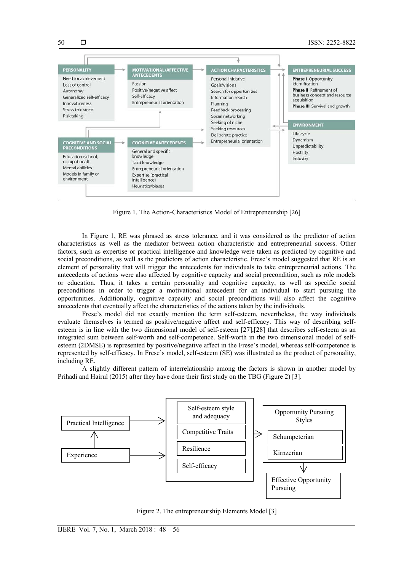

Figure 1. The Action-Characteristics Model of Entrepreneurship [26]

In Figure 1, RE was phrased as stress tolerance, and it was considered as the predictor of action characteristics as well as the mediator between action characteristic and entrepreneurial success. Other factors, such as expertise or practical intelligence and knowledge were taken as predicted by cognitive and social preconditions, as well as the predictors of action characteristic. Frese's model suggested that RE is an element of personality that will trigger the antecedents for individuals to take entrepreneurial actions. The antecedents of actions were also affected by cognitive capacity and social precondition, such as role models or education. Thus, it takes a certain personality and cognitive capacity, as well as specific social preconditions in order to trigger a motivational antecedent for an individual to start pursuing the opportunities. Additionally, cognitive capacity and social preconditions will also affect the cognitive antecedents that eventually affect the characteristics of the actions taken by the individuals.

Frese's model did not exactly mention the term self-esteem, nevertheless, the way individuals evaluate themselves is termed as positive/negative affect and self-efficacy. This way of describing selfesteem is in line with the two dimensional model of self-esteem [27],[28] that describes self-esteem as an integrated sum between self-worth and self-competence. Self-worth in the two dimensional model of selfesteem (2DMSE) is represented by positive/negative affect in the Frese's model, whereas self-competence is represented by self-efficacy. In Frese's model, self-esteem (SE) was illustrated as the product of personality, including RE.

A slightly different pattern of interrelationship among the factors is shown in another model by Prihadi and Hairul (2015) after they have done their first study on the TBG (Figure 2) [3].



Figure 2. The entrepreneurship Elements Model [3]

50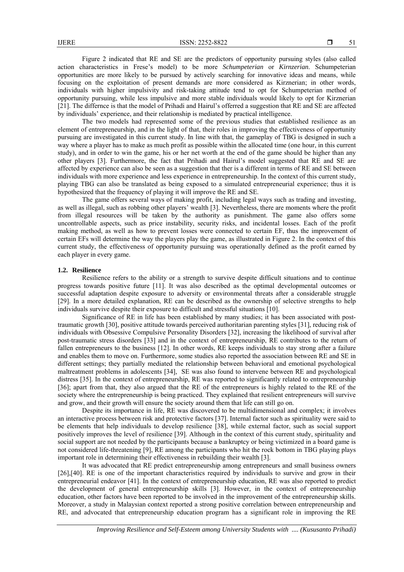Figure 2 indicated that RE and SE are the predictors of opportunity pursuing styles (also called action characteristics in Frese's model) to be more *Schumpeterian* or *Kirnzerian*. Schumpeterian opportunities are more likely to be pursued by actively searching for innovative ideas and means, while focusing on the exploitation of present demands are more considered as Kirznerian; in other words, individuals with higher impulsivity and risk-taking attitude tend to opt for Schumpeterian method of opportunity pursuing, while less impulsive and more stable individuals would likely to opt for Kirznerian [21]. The differnce is that the model of Prihadi and Hairul's offerred a suggestion that RE and SE are affected by individuals' experience, and their relationship is mediated by practical intelligence.

The two models had represented some of the previous studies that established resilience as an element of entrepreneurship, and in the light of that, their roles in improving the effectiveness of opportunity pursuing are investigated in this current study. In line with that, the gameplay of TBG is designed in such a way where a player has to make as much profit as possible within the allocated time (one hour, in this current study), and in order to win the game, his or her net worth at the end of the game should be higher than any other players [3]. Furthermore, the fact that Prihadi and Hairul's model suggested that RE and SE are affected by experience can also be seen as a suggestion that ther is a different in terms of RE and SE between individuals with more experience and less experience in entrepreneurship. In the context of this current study, playing TBG can also be translated as being exposed to a simulated entrepreneurial experience; thus it is hypothesized that the frequency of playing it will improve the RE and SE.

The game offers several ways of making profit, including legal ways such as trading and investing, as well as illegal, such as robbing other players' wealth [3]. Nevertheless, there are moments where the profit from illegal resources will be taken by the authority as punishment. The game also offers some uncontrollable aspects, such as price instability, security risks, and incidental losses. Each of the profit making method, as well as how to prevent losses were connected to certain EF, thus the improvement of certain EFs will determine the way the players play the game, as illustrated in Figure 2. In the context of this current study, the effectiveness of opportunity pursuing was operationally defined as the profit earned by each player in every game.

#### **1.2. Resilience**

Resilience refers to the ability or a strength to survive despite difficult situations and to continue progress towards positive future [11]. It was also described as the optimal developmental outcomes or successful adaptation despite exposure to adversity or environmental threats after a considerable struggle [29]. In a more detailed explanation, RE can be described as the ownership of selective strengths to help individuals survive despite their exposure to difficult and stressful situations [10].

Significance of RE in life has been established by many studies; it has been associated with posttraumatic growth [30], positive attitude towards perceived authoritarian parenting styles [31], reducing risk of individuals with Obsessive Compulsive Personality Disorders [32], increasing the likelihood of survival after post-traumatic stress disorders [33] and in the context of entrepreneurship, RE contributes to the return of fallen entrepreneurs to the business [12]. In other words, RE keeps individuals to stay strong after a failure and enables them to move on. Furthermore, some studies also reported the association between RE and SE in different settings; they partially mediated the relationship between behavioral and emotional psychological maltreatment problems in adolescents [34], SE was also found to intervene between RE and psychological distress [35]. In the context of entrepreneurship, RE was reported to significantly related to entrepreneurship [36]; apart from that, they also argued that the RE of the entrepreneurs is highly related to the RE of the society where the entrepreneurship is being practiced. They explained that resilient entrepreneurs will survive and grow, and their growth will ensure the society around them that life can still go on.

Despite its importance in life, RE was discovered to be multidimensional and complex; it involves an interactive process between risk and protective factors [37]. Internal factor such as spirituality were said to be elements that help individuals to develop resilience [38], while external factor, such as social support positively improves the level of resilience [39]. Although in the context of this current study, spirituality and social support are not needed by the participants because a bankruptcy or being victimized in a board game is not considered life-threatening [9], RE among the participants who hit the rock bottom in TBG playing plays important role in determining their effectiveness in rebuilding their wealth [3].

It was advocated that RE predict entrepreneurship among entrepreneurs and small business owners [26],[40]. RE is one of the important characteristics required by individuals to survive and grow in their entrepreneurial endeavor [41]. In the context of entrepreneurship education, RE was also reported to predict the development of general entrepreneurship skills [3]. However, in the context of entrepreneurship education, other factors have been reported to be involved in the improvement of the entrepreneurship skills. Moreover, a study in Malaysian context reported a strong positive correlation between entrepreneurship and RE, and advocated that entrepreneurship education program has a significant role in improving the RE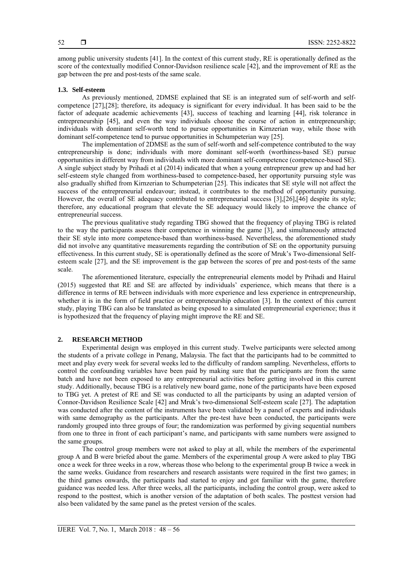among public university students [41]. In the context of this current study, RE is operationally defined as the score of the contextually modified Connor-Davidson resilience scale [42], and the improvement of RE as the gap between the pre and post-tests of the same scale.

## **1.3. Self-esteem**

As previously mentioned, 2DMSE explained that SE is an integrated sum of self-worth and selfcompetence [27],[28]; therefore, its adequacy is significant for every individual. It has been said to be the factor of adequate academic achievements [43], success of teaching and learning [44], risk tolerance in entrepreneurship [45], and even the way individuals choose the course of action in entrepreneurship; individuals with dominant self-worth tend to pursue opportunities in Kirnzerian way, while those with dominant self-competence tend to pursue opportunities in Schumpeterian way [25].

The implementation of 2DMSE as the sum of self-worth and self-competence contributed to the way entrepreneurship is done; individuals with more dominant self-worth (worthiness-based SE) pursue opportunities in different way from individuals with more dominant self-competence (competence-based SE). A single subject study by Prihadi et al (2014) indicated that when a young entrepreneur grew up and had her self-esteem style changed from worthiness-based to competence-based, her opportunity pursuing style was also gradually shifted from Kirnzerian to Schumpeterian [25]. This indicates that SE style will not affect the success of the entrepreneurial endeavour; instead, it contributes to the method of opportunity pursuing. However, the overall of SE adequacy contributed to entrepreneurial success [3],[26],[46] despite its style; therefore, any educational program that elevate the SE adequacy would likely to improve the chance of entrepreneurial success.

The previous qualitative study regarding TBG showed that the frequency of playing TBG is related to the way the participants assess their competence in winning the game [3], and simultaneously attracted their SE style into more competence-based than worthiness-based. Nevertheless, the aforementioned study did not involve any quantitative measurements regarding the contribution of SE on the opportunity pursuing effectiveness. In this current study, SE is operationally defined as the score of Mruk's Two-dimensional Selfesteem scale [27], and the SE improvement is the gap between the scores of pre and post-tests of the same scale.

The aforementioned literature, especially the entrepreneurial elements model by Prihadi and Hairul (2015) suggested that RE and SE are affected by individuals' experience, which means that there is a difference in terms of RE between individuals with more experience and less experience in entrepreneurship, whether it is in the form of field practice or entrepreneurship education [3]. In the context of this current study, playing TBG can also be translated as being exposed to a simulated entrepreneurial experience; thus it is hypothesized that the frequency of playing might improve the RE and SE.

# **2. RESEARCH METHOD**

Experimental design was employed in this current study. Twelve participants were selected among the students of a private college in Penang, Malaysia. The fact that the participants had to be committed to meet and play every week for several weeks led to the difficulty of random sampling. Nevertheless, efforts to control the confounding variables have been paid by making sure that the participants are from the same batch and have not been exposed to any entrepreneurial activities before getting involved in this current study. Additionally, because TBG is a relatively new board game, none of the participants have been exposed to TBG yet. A pretest of RE and SE was conducted to all the participants by using an adapted version of Connor-Davidson Resilience Scale [42] and Mruk's two-dimensional Self-esteem scale [27]. The adaptation was conducted after the content of the instruments have been validated by a panel of experts and individuals with same demography as the participants. After the pre-test have been conducted, the participants were randomly grouped into three groups of four; the randomization was performed by giving sequential numbers from one to three in front of each participant's name, and participants with same numbers were assigned to the same groups.

The control group members were not asked to play at all, while the members of the experimental group A and B were briefed about the game. Members of the experimental group A were asked to play TBG once a week for three weeks in a row, whereas those who belong to the experimental group B twice a week in the same weeks. Guidance from researchers and research assistants were required in the first two games; in the third games onwards, the participants had started to enjoy and got familiar with the game, therefore guidance was needed less. After three weeks, all the participants, including the control group, were asked to respond to the posttest, which is another version of the adaptation of both scales. The posttest version had also been validated by the same panel as the pretest version of the scales.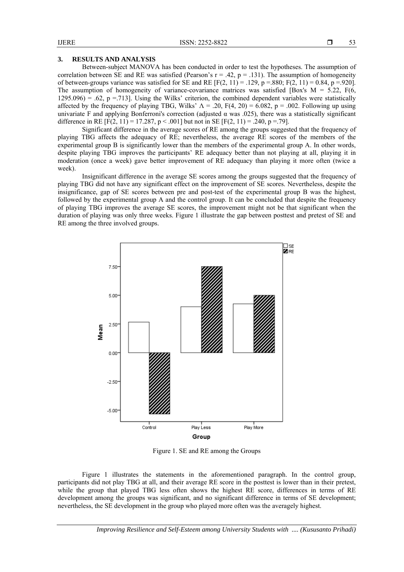### **3. RESULTS AND ANALYSIS**

Between-subject MANOVA has been conducted in order to test the hypotheses. The assumption of correlation between SE and RE was satisfied (Pearson's  $r = .42$ ,  $p = .131$ ). The assumption of homogeneity of between-groups variance was satisfied for SE and RE  $[F(2, 11) = .129, p = .880; F(2, 11) = 0.84, p = .920]$ . The assumption of homogeneity of variance-covariance matrices was satisfied [Box's  $M = 5.22$ , F(6,  $1295.096$  = .62, p = .713]. Using the Wilks' criterion, the combined dependent variables were statistically affected by the frequency of playing TBG, Wilks'  $\Lambda = .20$ , F(4, 20) = 6.082, p = .002. Following up using univariate F and applying Bonferroni's correction (adjusted  $\alpha$  was .025), there was a statistically significant difference in RE  $[F(2, 11) = 17.287, p < .001]$  but not in SE  $[F(2, 11) = .240, p = .79]$ .

Significant difference in the average scores of RE among the groups suggested that the frequency of playing TBG affects the adequacy of RE; nevertheless, the average RE scores of the members of the experimental group B is significantly lower than the members of the experimental group A. In other words, despite playing TBG improves the participants' RE adequacy better than not playing at all, playing it in moderation (once a week) gave better improvement of RE adequacy than playing it more often (twice a week).

Insignificant difference in the average SE scores among the groups suggested that the frequency of playing TBG did not have any significant effect on the improvement of SE scores. Nevertheless, despite the insignificance, gap of SE scores between pre and post-test of the experimental group B was the highest, followed by the experimental group A and the control group. It can be concluded that despite the frequency of playing TBG improves the average SE scores, the improvement might not be that significant when the duration of playing was only three weeks. Figure 1 illustrate the gap between posttest and pretest of SE and RE among the three involved groups.



Figure 1. SE and RE among the Groups

Figure 1 illustrates the statements in the aforementioned paragraph. In the control group, participants did not play TBG at all, and their average RE score in the posttest is lower than in their pretest, while the group that played TBG less often shows the highest RE score, differences in terms of RE development among the groups was significant, and no significant difference in terms of SE development; nevertheless, the SE development in the group who played more often was the averagely highest.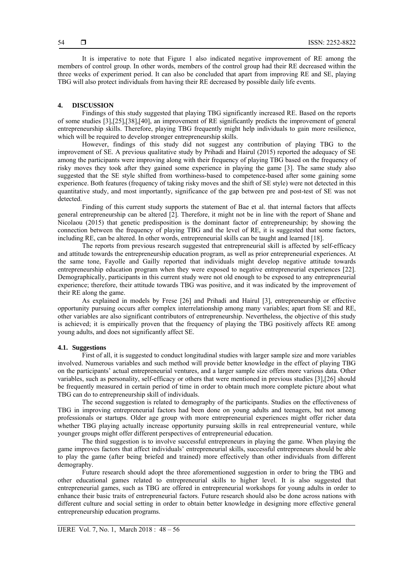It is imperative to note that Figure 1 also indicated negative improvement of RE among the members of control group. In other words, members of the control group had their RE decreased within the three weeks of experiment period. It can also be concluded that apart from improving RE and SE, playing TBG will also protect individuals from having their RE decreased by possible daily life events.

# **4. DISCUSSION**

Findings of this study suggested that playing TBG significantly increased RE. Based on the reports of some studies [3],[25],[38],[40], an improvement of RE significantly predicts the improvement of general entrepreneurship skills. Therefore, playing TBG frequently might help individuals to gain more resilience, which will be required to develop stronger entrepreneurship skills.

However, findings of this study did not suggest any contribution of playing TBG to the improvement of SE. A previous qualitative study by Prihadi and Hairul (2015) reported the adequacy of SE among the participants were improving along with their frequency of playing TBG based on the frequency of risky moves they took after they gained some experience in playing the game [3]. The same study also suggested that the SE style shifted from worthiness-based to competence-based after some gaining some experience. Both features (frequency of taking risky moves and the shift of SE style) were not detected in this quantitative study, and most importantly, significance of the gap between pre and post-test of SE was not detected.

Finding of this current study supports the statement of Bae et al. that internal factors that affects general entrepreneurship can be altered [2]. Therefore, it might not be in line with the report of Shane and Nicolaou (2015) that genetic predisposition is the dominant factor of entrepreneurship; by showing the connection between the frequency of playing TBG and the level of RE, it is suggested that some factors, including RE, can be altered. In other words, entrepreneurial skills can be taught and learned [18].

The reports from previous research suggested that entrepreneurial skill is affected by self-efficacy and attitude towards the entrepreneurship education program, as well as prior entrepreneurial experiences. At the same tone, Fayolle and Gailly reported that individuals might develop negative attitude towards entrepreneurship education program when they were exposed to negative entrepreneurial experiences [22]. Demographically, participants in this current study were not old enough to be exposed to any entrepreneurial experience; therefore, their attitude towards TBG was positive, and it was indicated by the improvement of their RE along the game.

As explained in models by Frese [26] and Prihadi and Hairul [3], entrepreneurship or effective opportunity pursuing occurs after complex interrelationship among many variables; apart from SE and RE, other variables are also significant contributors of entrepreneurship. Nevertheless, the objective of this study is achieved; it is empirically proven that the frequency of playing the TBG positively affects RE among young adults, and does not significantly affect SE.

# **4.1. Suggestions**

First of all, it is suggested to conduct longitudinal studies with larger sample size and more variables involved. Numerous variables and such method will provide better knowledge in the effect of playing TBG on the participants' actual entrepreneurial ventures, and a larger sample size offers more various data. Other variables, such as personality, self-efficacy or others that were mentioned in previous studies [3],[26] should be frequently measured in certain period of time in order to obtain much more complete picture about what TBG can do to entrepreneurship skill of individuals.

The second suggestion is related to demography of the participants. Studies on the effectiveness of TBG in improving entrepreneurial factors had been done on young adults and teenagers, but not among professionals or startups. Older age group with more entrepreneurial experiences might offer richer data whether TBG playing actually increase opportunity pursuing skills in real entrepreneurial venture, while younger groups might offer different perspectives of entrepreneurial education.

The third suggestion is to involve successful entrepreneurs in playing the game. When playing the game improves factors that affect individuals' entrepreneurial skills, successful entrepreneurs should be able to play the game (after being briefed and trained) more effectively than other individuals from different demography.

Future research should adopt the three aforementioned suggestion in order to bring the TBG and other educational games related to entrepreneurial skills to higher level. It is also suggested that entrepreneurial games, such as TBG are offered in entrepreneurial workshops for young adults in order to enhance their basic traits of entrepreneurial factors. Future research should also be done across nations with different culture and social setting in order to obtain better knowledge in designing more effective general entrepreneurship education programs.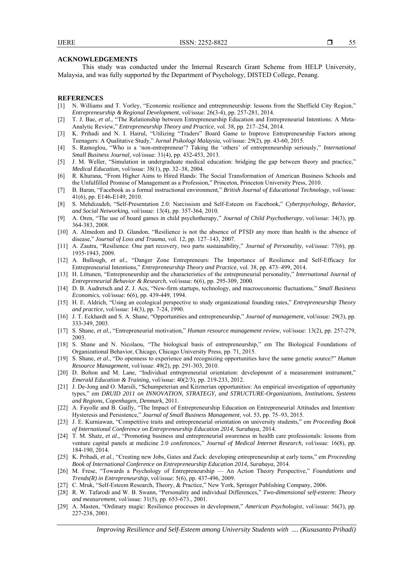**ACKNOWLEDGEMENTS** 

This study was conducted under the Internal Research Grant Scheme from HELP University, Malaysia, and was fully supported by the Department of Psychology, DISTED College, Penang.

#### **REFERENCES**

- [1] N. Williams and T. Vorley, "Economic resilience and entrepreneurship: lessons from the Sheffield City Region," *Entrepreneurship & Regional Development*, vol/issue: 26(3-4), pp. 257-281, 2014.
- [2] T. J. Bae, *et al.*, "The Relationship between Entrepreneurship Education and Entrepreneurial Intentions: A Meta-Analytic Review," *Entrepreneurship Theory and Practice*, vol. 38, pp. 217–254, 2014.
- [3] K. Prihadi and N. I. Hairul, "Utilizing "Traders" Board Game to Improve Entrepreneurship Factors among Teenagers: A Qualitative Study," *Jurnal Psikologi Malaysia*, vol/issue: 29(2), pp. 43-60, 2015.
- [4] S. Ramoglou, "Who is a 'non-entrepreneur'? Taking the 'others' of entrepreneurship seriously," *International Small Business Journal*, vol/issue: 31(4), pp. 432-453, 2013.
- [5] J. M. Weller, "Simulation in undergraduate medical education: bridging the gap between theory and practice," *Medical Education*, vol/issue: 38(1), pp. 32–38, 2004.
- [6] R. Khurana, "From Higher Aims to Hired Hands: The Social Transformation of American Business Schools and the Unfulfilled Promise of Management as a Profession," Princeton, Princeton University Press, 2010.
- [7] B. Baran, "Facebook as a formal instructional environment," *British Journal of Educational Technology*, vol/issue: 41(6), pp. E146-E149, 2010.
- [8] S. Mehdizadeh, "Self-Presentation 2.0: Narcissism and Self-Esteem on Facebook," *Cyberpsychology, Behavior, and Social Networking*, vol/issue: 13(4), pp. 357-364, 2010.
- [9] A. Oren, "The use of board games in child psychotherapy," *Journal of Child Psychotherapy*, vol/issue: 34(3), pp. 364-383, 2008.
- [10] A. Almedom and D. Glandon, "Resilience is not the absence of PTSD any more than health is the absence of disease," *Journal of Loss and Trauma*, vol. 12, pp. 127–143, 2007.
- [11] A. Zautra, "Resilience: One part recovery, two parts sustainability," *Journal of Personality*, vol/issue: 77(6), pp. 1935-1943, 2009.
- [12] A. Bullough, *et al.*, "Danger Zone Entrepreneurs: The Importance of Resilience and Self-Efficacy for Entrepreneurial Intentions," *Entrepreneurship Theory and Practice*, vol. 38, pp. 473–499, 2014.
- [13] H. Littunen, "Entrepreneurship and the characteristics of the entrepreneurial personality," *International Journal of Entrepreneurial Behavior & Research*, vol/issue: 6(6), pp. 295-309, 2000.
- [14] D. B. Audretsch and Z. J. Acs, "New-firm startups, technology, and macroeconomic fluctuations," *Small Business Economics*, vol/issue: 6(6), pp. 439-449, 1994.
- [15] H. E. Aldrich, "Using an ecological perspective to study organizational founding rates," *Entrepreneurship Theory and practice*, vol/issue: 14(3), pp. 7-24, 1990.
- [16] J. T. Eckhardt and S. A. Shane, "Opportunities and entrepreneurship," *Journal of management*, vol/issue: 29(3), pp. 333-349, 2003.
- [17] S. Shane, *et al.*, "Entrepreneurial motivation," *Human resource management review*, vol/issue: 13(2), pp. 257-279, 2003.
- [18] S. Shane and N. Nicolaou, "The biological basis of entrepreneurship," em The Biological Foundations of Organizational Behavior, Chicago, Chicago University Press, pp. 71, 2015.
- [19] S. Shane, *et al.*, "Do openness to experience and recognizing opportunities have the same genetic source?" *Human Resource Management*, vol/issue: 49(2), pp. 291-303, 2010.
- [20] D. Bolton and M. Lane, "Individual entrepreneurial orientation: development of a measurement instrument," *Emerald Education & Training*, vol/issue: 40(2/3), pp. 219-233, 2012.
- [21] J. De-Jong and O. Marsili, "Schumpeterian and Kirznerian opportunities: An empirical investigation of opportunity types," em *DRUID 2011 on INNOVATION, STRATEGY, and STRUCTURE-Organizations, Institutions, Systems and Regions, Copenhagen, Denmark,* 2011.
- [22] A. Fayolle and B. Gailly, "The Impact of Entrepreneurship Education on Entrepreneurial Attitudes and Intention: Hysteresis and Persistence," *Journal of Small Business Management*, vol. 53, pp. 75–93, 2015.
- [23] J. E. Kurniawan, "Competitive traits and entrepreneurial orientation on university students," em *Proceeding Book of International Conference on Entrepreneurship Education 2014, Surabaya*, 2014.
- [24] T. M. Shatz, *et al.*, "Promoting business and entrepreneurial awareness in health care professionals: lessons from venture capital panels at medicine 2.0 conferences," *Journal of Medical Internet Research*, vol/issue: 16(8), pp. 184-190, 2014.
- [25] K. Prihadi, *et al.*, "Creating new Jobs, Gates and Zuck: developing entrepreneurship at early teens," em *Proceeding Book of International Conference on Entrepreneurship Education 2014, Surabaya*, 2014.
- [26] M. Frese, "Towards a Psychology of Entrepreneurship An Action Theory Perspective," *Foundations and Trends(R) in Entrepreneurship*, vol/issue: 5(6), pp. 437-496, 2009.
- [27] C. Mruk, "Self-Esteem Research, Theory, & Practice," New York, Springer Publishing Company, 2006.
- [28] R. W. Tafarodi and W. B. Swann, "Personality and individual Differences," *Two-dimensional self-esteem: Theory and measurement*, vol/issue: 31(5), pp. 653-673., 2001.
- [29] A. Masten, "Ordinary magic: Resilience processes in development," *American Psychologist*, vol/issue: 56(3), pp. 227-238, 2001.